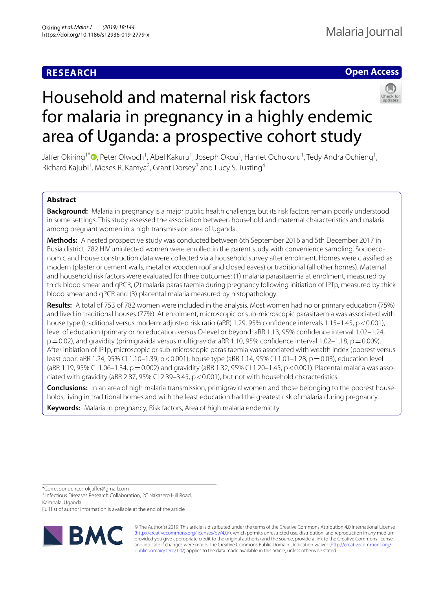# **RESEARCH**

# **Open Access**



# Household and maternal risk factors for malaria in pregnancy in a highly endemic area of Uganda: a prospective cohort study

Jaffer Okiring<sup>1[\\*](http://orcid.org/0000-0003-3668-8997)</sup> ©, Peter Olwoch<sup>1</sup>, Abel Kakuru<sup>1</sup>, Joseph Okou<sup>1</sup>, Harriet Ochokoru<sup>1</sup>, Tedy Andra Ochieng<sup>1</sup>, Richard Kajubi<sup>1</sup>, Moses R. Kamya<sup>2</sup>, Grant Dorsey<sup>3</sup> and Lucy S. Tusting<sup>4</sup>

# **Abstract**

**Background:** Malaria in pregnancy is a major public health challenge, but its risk factors remain poorly understood in some settings. This study assessed the association between household and maternal characteristics and malaria among pregnant women in a high transmission area of Uganda.

**Methods:** A nested prospective study was conducted between 6th September 2016 and 5th December 2017 in Busia district. 782 HIV uninfected women were enrolled in the parent study with convenience sampling. Socioeconomic and house construction data were collected via a household survey after enrolment. Homes were classifed as modern (plaster or cement walls, metal or wooden roof and closed eaves) or traditional (all other homes). Maternal and household risk factors were evaluated for three outcomes: (1) malaria parasitaemia at enrolment, measured by thick blood smear and qPCR, (2) malaria parasitaemia during pregnancy following initiation of IPTp, measured by thick blood smear and qPCR and (3) placental malaria measured by histopathology.

**Results:** A total of 753 of 782 women were included in the analysis. Most women had no or primary education (75%) and lived in traditional houses (77%). At enrolment, microscopic or sub-microscopic parasitaemia was associated with house type (traditional versus modern: adjusted risk ratio (aRR) 1.29, 95% confidence intervals 1.15–1.45, p < 0.001), level of education (primary or no education versus O-level or beyond: aRR 1.13, 95% confdence interval 1.02–1.24,  $p=0.02$ ), and gravidity (primigravida versus multigravida: aRR 1.10, 95% confidence interval 1.02–1.18,  $p=0.009$ ). After initiation of IPTp, microscopic or sub-microscopic parasitaemia was associated with wealth index (poorest versus least poor: aRR 1.24, 95% CI 1.10–1.39, p < 0.001), house type (aRR 1.14, 95% CI 1.01–1.28, p = 0.03), education level (aRR 1.19, 95% CI 1.06–1.34, p = 0.002) and gravidity (aRR 1.32, 95% CI 1.20–1.45, p < 0.001). Placental malaria was associated with gravidity (aRR 2.87, 95% CI 2.39–3.45, p<0.001), but not with household characteristics.

**Conclusions:** In an area of high malaria transmission, primigravid women and those belonging to the poorest households, living in traditional homes and with the least education had the greatest risk of malaria during pregnancy.

**Keywords:** Malaria in pregnancy, Risk factors, Area of high malaria endemicity

\*Correspondence: okjafer@gmail.com

<sup>1</sup> Infectious Diseases Research Collaboration, 2C Nakasero Hill Road,

Kampala, Uganda

Full list of author information is available at the end of the article



© The Author(s) 2019. This article is distributed under the terms of the Creative Commons Attribution 4.0 International License [\(http://creativecommons.org/licenses/by/4.0/\)](http://creativecommons.org/licenses/by/4.0/), which permits unrestricted use, distribution, and reproduction in any medium, provided you give appropriate credit to the original author(s) and the source, provide a link to the Creative Commons license, and indicate if changes were made. The Creative Commons Public Domain Dedication waiver ([http://creativecommons.org/](http://creativecommons.org/publicdomain/zero/1.0/) [publicdomain/zero/1.0/](http://creativecommons.org/publicdomain/zero/1.0/)) applies to the data made available in this article, unless otherwise stated.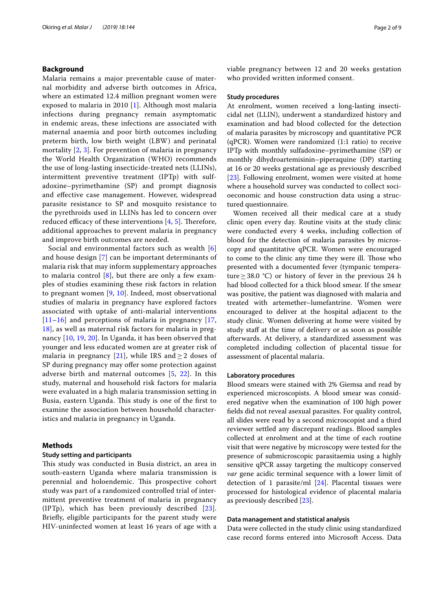## **Background**

Malaria remains a major preventable cause of maternal morbidity and adverse birth outcomes in Africa, where an estimated 12.4 million pregnant women were exposed to malaria in 2010 [\[1](#page-8-0)]. Although most malaria infections during pregnancy remain asymptomatic in endemic areas, these infections are associated with maternal anaemia and poor birth outcomes including preterm birth, low birth weight (LBW) and perinatal mortality [[2,](#page-8-1) [3\]](#page-8-2). For prevention of malaria in pregnancy the World Health Organization (WHO) recommends the use of long-lasting insecticide-treated nets (LLINs), intermittent preventive treatment (IPTp) with sulfadoxine–pyrimethamine (SP) and prompt diagnosis and efective case management. However, widespread parasite resistance to SP and mosquito resistance to the pyrethroids used in LLINs has led to concern over reduced efficacy of these interventions  $[4, 5]$  $[4, 5]$  $[4, 5]$ . Therefore, additional approaches to prevent malaria in pregnancy and improve birth outcomes are needed.

Social and environmental factors such as wealth [\[6](#page-8-5)] and house design [\[7](#page-8-6)] can be important determinants of malaria risk that may inform supplementary approaches to malaria control [[8\]](#page-8-7), but there are only a few examples of studies examining these risk factors in relation to pregnant women [[9](#page-8-8), [10\]](#page-8-9). Indeed, most observational studies of malaria in pregnancy have explored factors associated with uptake of anti-malarial interventions  $[11–16]$  $[11–16]$  $[11–16]$  $[11–16]$  and perceptions of malaria in pregnancy  $[17, 16]$  $[17, 16]$ [18\]](#page-8-13), as well as maternal risk factors for malaria in pregnancy [[10,](#page-8-9) [19,](#page-8-14) [20\]](#page-8-15). In Uganda, it has been observed that younger and less educated women are at greater risk of malaria in pregnancy [[21\]](#page-8-16), while IRS and  $\geq$  2 doses of SP during pregnancy may offer some protection against adverse birth and maternal outcomes [\[5](#page-8-4), [22](#page-8-17)]. In this study, maternal and household risk factors for malaria were evaluated in a high malaria transmission setting in Busia, eastern Uganda. This study is one of the first to examine the association between household characteristics and malaria in pregnancy in Uganda.

# **Methods**

# **Study setting and participants**

This study was conducted in Busia district, an area in south-eastern Uganda where malaria transmission is perennial and holoendemic. This prospective cohort study was part of a randomized controlled trial of intermittent preventive treatment of malaria in pregnancy (IPTp), which has been previously described [[23\]](#page-8-18). Briefy, eligible participants for the parent study were HIV-uninfected women at least 16 years of age with a viable pregnancy between 12 and 20 weeks gestation who provided written informed consent.

### **Study procedures**

At enrolment, women received a long-lasting insecticidal net (LLIN), underwent a standardized history and examination and had blood collected for the detection of malaria parasites by microscopy and quantitative PCR (qPCR). Women were randomized (1:1 ratio) to receive IPTp with monthly sulfadoxine–pyrimethamine (SP) or monthly dihydroartemisinin–piperaquine (DP) starting at 16 or 20 weeks gestational age as previously described [[23\]](#page-8-18). Following enrolment, women were visited at home where a household survey was conducted to collect socioeconomic and house construction data using a structured questionnaire.

Women received all their medical care at a study clinic open every day. Routine visits at the study clinic were conducted every 4 weeks, including collection of blood for the detection of malaria parasites by microscopy and quantitative qPCR. Women were encouraged to come to the clinic any time they were ill. Those who presented with a documented fever (tympanic temperature  $\geq$  38.0 °C) or history of fever in the previous 24 h had blood collected for a thick blood smear. If the smear was positive, the patient was diagnosed with malaria and treated with artemether–lumefantrine. Women were encouraged to deliver at the hospital adjacent to the study clinic. Women delivering at home were visited by study staff at the time of delivery or as soon as possible afterwards. At delivery, a standardized assessment was completed including collection of placental tissue for assessment of placental malaria.

#### **Laboratory procedures**

Blood smears were stained with 2% Giemsa and read by experienced microscopists. A blood smear was considered negative when the examination of 100 high power felds did not reveal asexual parasites. For quality control, all slides were read by a second microscopist and a third reviewer settled any discrepant readings. Blood samples collected at enrolment and at the time of each routine visit that were negative by microscopy were tested for the presence of submicroscopic parasitaemia using a highly sensitive qPCR assay targeting the multicopy conserved *var* gene acidic terminal sequence with a lower limit of detection of 1 parasite/ml [\[24](#page-8-19)]. Placental tissues were processed for histological evidence of placental malaria as previously described [\[23](#page-8-18)].

#### **Data management and statistical analysis**

Data were collected in the study clinic using standardized case record forms entered into Microsoft Access. Data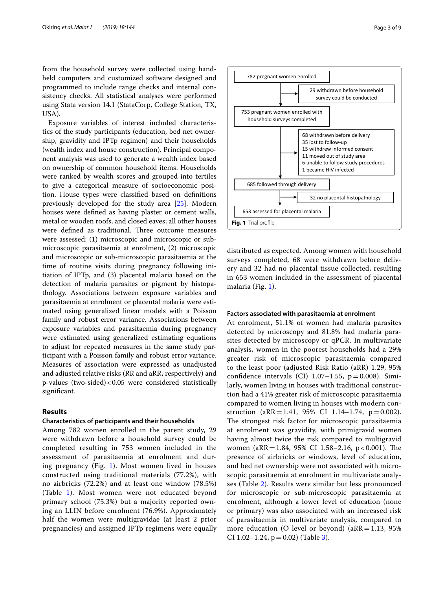from the household survey were collected using handheld computers and customized software designed and programmed to include range checks and internal consistency checks. All statistical analyses were performed using Stata version 14.1 (StataCorp, College Station, TX, USA).

Exposure variables of interest included characteristics of the study participants (education, bed net ownership, gravidity and IPTp regimen) and their households (wealth index and house construction). Principal component analysis was used to generate a wealth index based on ownership of common household items. Households were ranked by wealth scores and grouped into tertiles to give a categorical measure of socioeconomic position. House types were classifed based on defnitions previously developed for the study area [\[25\]](#page-8-20). Modern houses were defned as having plaster or cement walls, metal or wooden roofs, and closed eaves; all other houses were defined as traditional. Three outcome measures were assessed: (1) microscopic and microscopic or submicroscopic parasitaemia at enrolment, (2) microscopic and microscopic or sub-microscopic parasitaemia at the time of routine visits during pregnancy following initiation of IPTp, and (3) placental malaria based on the detection of malaria parasites or pigment by histopathology. Associations between exposure variables and parasitaemia at enrolment or placental malaria were estimated using generalized linear models with a Poisson family and robust error variance. Associations between exposure variables and parasitaemia during pregnancy were estimated using generalized estimating equations to adjust for repeated measures in the same study participant with a Poisson family and robust error variance. Measures of association were expressed as unadjusted and adjusted relative risks (RR and aRR, respectively) and p-values (two-sided)<0.05 were considered statistically signifcant.

## **Results**

#### **Characteristics of participants and their households**

Among 782 women enrolled in the parent study, 29 were withdrawn before a household survey could be completed resulting in 753 women included in the assessment of parasitaemia at enrolment and during pregnancy (Fig. [1\)](#page-2-0). Most women lived in houses constructed using traditional materials (77.2%), with no airbricks (72.2%) and at least one window (78.5%) (Table [1\)](#page-3-0). Most women were not educated beyond primary school (75.3%) but a majority reported owning an LLIN before enrolment (76.9%). Approximately half the women were multigravidae (at least 2 prior pregnancies) and assigned IPTp regimens were equally



<span id="page-2-0"></span>distributed as expected. Among women with household surveys completed, 68 were withdrawn before delivery and 32 had no placental tissue collected, resulting in 653 women included in the assessment of placental malaria (Fig. [1](#page-2-0)).

#### **Factors associated with parasitaemia at enrolment**

At enrolment, 51.1% of women had malaria parasites detected by microscopy and 81.8% had malaria parasites detected by microscopy or qPCR. In multivariate analysis, women in the poorest households had a 29% greater risk of microscopic parasitaemia compared to the least poor (adjusted Risk Ratio (aRR) 1.29, 95% confidence intervals (CI)  $1.07-1.55$ ,  $p=0.008$ ). Similarly, women living in houses with traditional construction had a 41% greater risk of microscopic parasitaemia compared to women living in houses with modern construction (aRR = 1.41, 95% CI 1.14–1.74,  $p = 0.002$ ). The strongest risk factor for microscopic parasitaemia at enrolment was gravidity, with primigravid women having almost twice the risk compared to multigravid women (aRR = 1.84, 95% CI 1.58–2.16, p < 0.001). The presence of airbricks or windows, level of education, and bed net ownership were not associated with microscopic parasitaemia at enrolment in multivariate analyses (Table [2\)](#page-3-1). Results were similar but less pronounced for microscopic or sub-microscopic parasitaemia at enrolment, although a lower level of education (none or primary) was also associated with an increased risk of parasitaemia in multivariate analysis, compared to more education (O level or beyond) ( $aRR = 1.13$ ,  $95\%$ CI 1.02–1.24,  $p = 0.02$ ) (Table [3\)](#page-4-0).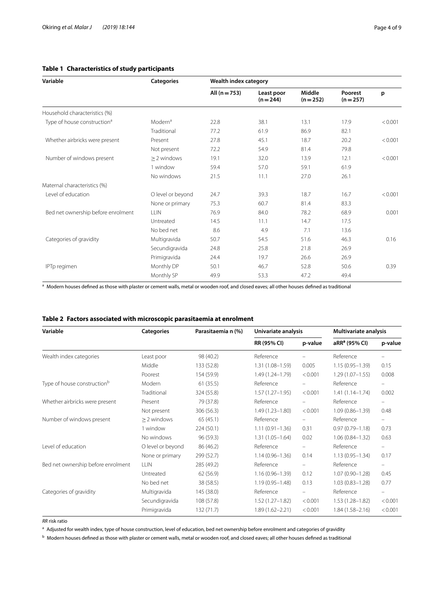<span id="page-3-0"></span>

| Variable                                | <b>Categories</b>   | Wealth index category |                           |                     |                      |         |  |
|-----------------------------------------|---------------------|-----------------------|---------------------------|---------------------|----------------------|---------|--|
|                                         |                     | All $(n = 753)$       | Least poor<br>$(n = 244)$ | Middle<br>$(n=252)$ | Poorest<br>$(n=257)$ | p       |  |
| Household characteristics (%)           |                     |                       |                           |                     |                      |         |  |
| Type of house construction <sup>a</sup> | Modern <sup>a</sup> | 22.8                  | 38.1                      | 13.1                | 17.9                 | < 0.001 |  |
|                                         | Traditional         | 77.2                  | 61.9                      | 86.9                | 82.1                 |         |  |
| Whether airbricks were present          | Present             | 27.8                  | 45.1                      | 18.7                | 20.2                 | < 0.001 |  |
|                                         | Not present         | 72.2                  | 54.9                      | 81.4                | 79.8                 |         |  |
| Number of windows present               | $> 2$ windows       | 19.1                  | 32.0                      | 13.9                | 12.1                 | < 0.001 |  |
|                                         | 1 window            | 59.4                  | 57.0                      | 59.1                | 61.9                 |         |  |
|                                         | No windows          | 21.5                  | 11.1                      | 27.0                | 26.1                 |         |  |
| Maternal characteristics (%)            |                     |                       |                           |                     |                      |         |  |
| Level of education                      | O level or beyond   | 24.7                  | 39.3                      | 18.7                | 16.7                 | < 0.001 |  |
|                                         | None or primary     | 75.3                  | 60.7                      | 81.4                | 83.3                 |         |  |
| Bed net ownership before enrolment      | LLIN                | 76.9                  | 84.0                      | 78.2                | 68.9                 | 0.001   |  |
|                                         | Untreated           | 14.5                  | 11.1                      | 14.7                | 17.5                 |         |  |
|                                         | No bed net          | 8.6                   | 4.9                       | 7.1                 | 13.6                 |         |  |
| Categories of gravidity                 | Multigravida        | 50.7                  | 54.5                      | 51.6                | 46.3                 | 0.16    |  |
|                                         | Secundigravida      | 24.8                  | 25.8                      | 21.8                | 26.9                 |         |  |
|                                         | Primigravida        | 24.4                  | 19.7                      | 26.6                | 26.9                 |         |  |
| IPTp regimen                            | Monthly DP          | 50.1                  | 46.7                      | 52.8                | 50.6                 | 0.39    |  |
|                                         | Monthly SP          | 49.9                  | 53.3                      | 47.2                | 49.4                 |         |  |

a Modern houses defined as those with plaster or cement walls, metal or wooden roof, and closed eaves; all other houses defined as traditional

<span id="page-3-1"></span>

| Variable                                | <b>Categories</b> | Parasitaemia n (%) | Univariate analysis |          | Multivariate analysis     |                          |
|-----------------------------------------|-------------------|--------------------|---------------------|----------|---------------------------|--------------------------|
|                                         |                   |                    | RR (95% CI)         | p-value  | aRR <sup>a</sup> (95% CI) | p-value                  |
| Wealth index categories                 | Least poor        | 98 (40.2)          | Reference           |          | Reference                 |                          |
|                                         | Middle            | 133 (52.8)         | $1.31(1.08 - 1.59)$ | 0.005    | $1.15(0.95 - 1.39)$       | 0.15                     |
|                                         | Poorest           | 154 (59.9)         | $1.49(1.24 - 1.79)$ | < 0.001  | $1.29(1.07 - 1.55)$       | 0.008                    |
| Type of house construction <sup>b</sup> | Modern            | 61(35.5)           | Reference           | $\equiv$ | Reference                 | $\overline{\phantom{m}}$ |
|                                         | Traditional       | 324 (55.8)         | $1.57(1.27 - 1.95)$ | < 0.001  | $1.41(1.14 - 1.74)$       | 0.002                    |
| Whether airbricks were present          | Present           | 79 (37.8)          | Reference           |          | Reference                 |                          |
|                                         | Not present       | 306 (56.3)         | $1.49(1.23 - 1.80)$ | < 0.001  | $1.09(0.86 - 1.39)$       | 0.48                     |
| Number of windows present               | $> 2$ windows     | 65(45.1)           | Reference           | -        | Reference                 | $\overline{\phantom{0}}$ |
|                                         | 1 window          | 224 (50.1)         | $1.11(0.91 - 1.36)$ | 0.31     | $0.97(0.79 - 1.18)$       | 0.73                     |
|                                         | No windows        | 96 (59.3)          | $1.31(1.05 - 1.64)$ | 0.02     | $1.06(0.84 - 1.32)$       | 0.63                     |
| Level of education                      | O level or beyond | 86 (46.2)          | Reference           |          | Reference                 |                          |
|                                         | None or primary   | 299 (52.7)         | $1.14(0.96 - 1.36)$ | 0.14     | $1.13(0.95 - 1.34)$       | 0.17                     |
| Bed net ownership before enrolment      | <b>LLIN</b>       | 285 (49.2)         | Reference           | -        | Reference                 | $\overline{\phantom{0}}$ |
|                                         | Untreated         | 62 (56.9)          | $1.16(0.96 - 1.39)$ | 0.12     | $1.07(0.90 - 1.28)$       | 0.45                     |
|                                         | No bed net        | 38 (58.5)          | $1.19(0.95 - 1.48)$ | 0.13     | $1.03(0.83 - 1.28)$       | 0.77                     |
| Categories of gravidity                 | Multigravida      | 145 (38.0)         | Reference           | Ξ.       | Reference                 | $\overline{\phantom{m}}$ |
|                                         | Secundigravida    | 108 (57.8)         | $1.52(1.27 - 1.82)$ | < 0.001  | $1.53(1.28 - 1.82)$       | < 0.001                  |
|                                         | Primigravida      | 132 (71.7)         | $1.89(1.62 - 2.21)$ | < 0.001  | $1.84(1.58 - 2.16)$       | < 0.001                  |

*RR* risk ratio

<sup>a</sup> Adjusted for wealth index, type of house construction, level of education, bed net ownership before enrolment and categories of gravidity

<sup>b</sup> Modern houses defned as those with plaster or cement walls, metal or wooden roof, and closed eaves; all other houses defned as traditional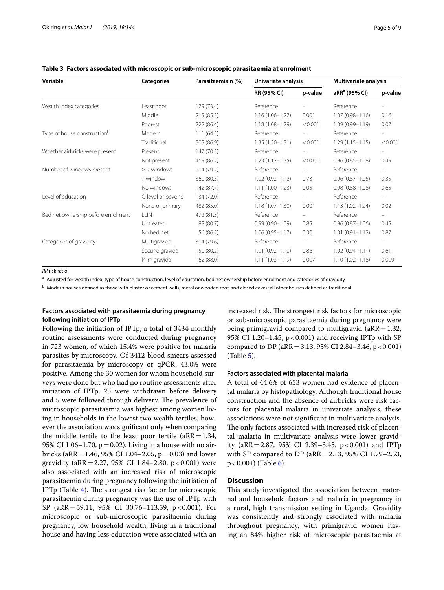| <b>Categories</b> | Parasitaemia n (%) | Univariate analysis |                          | <b>Multivariate analysis</b> |                          |
|-------------------|--------------------|---------------------|--------------------------|------------------------------|--------------------------|
|                   |                    | RR (95% CI)         | p-value                  | aRR <sup>a</sup> (95% CI)    | p-value                  |
| Least poor        | 179 (73.4)         | Reference           |                          | Reference                    |                          |
| Middle            | 215(85.3)          | $1.16(1.06 - 1.27)$ | 0.001                    | $1.07(0.98 - 1.16)$          | 0.16                     |
| Poorest           | 222 (86.4)         | $1.18(1.08 - 1.29)$ | < 0.001                  | $1.09(0.99 - 1.19)$          | 0.07                     |
| Modern            | 111(64.5)          | Reference           |                          | Reference                    | $\qquad \qquad -$        |
| Traditional       | 505 (86.9)         | $1.35(1.20 - 1.51)$ | < 0.001                  | $1.29(1.15 - 1.45)$          | < 0.001                  |
| Present           | 147 (70.3)         | Reference           |                          | Reference                    | $\overline{\phantom{0}}$ |
| Not present       | 469 (86.2)         | $1.23(1.12 - 1.35)$ | < 0.001                  | $0.96(0.85 - 1.08)$          | 0.49                     |
| $\geq$ 2 windows  | 114 (79.2)         | Reference           |                          | Reference                    | $\qquad \qquad -$        |
| 1 window          | 360 (80.5)         | $1.02(0.92 - 1.12)$ | 0.73                     | $0.96(0.87 - 1.05)$          | 0.35                     |
| No windows        | 142 (87.7)         | $1.11(1.00-1.23)$   | 0.05                     | $0.98(0.88 - 1.08)$          | 0.65                     |
| O level or beyond | 134 (72.0)         | Reference           | $\overline{\phantom{0}}$ | Reference                    | $\frac{1}{2}$            |
| None or primary   | 482 (85.0)         | $1.18(1.07 - 1.30)$ | 0.001                    | $1.13(1.02 - 1.24)$          | 0.02                     |
| <b>LLIN</b>       | 472 (81.5)         | Reference           |                          | Reference                    | $\qquad \qquad -$        |
| Untreated         | 88 (80.7)          | $0.99(0.90 - 1.09)$ | 0.85                     | $0.96(0.87 - 1.06)$          | 0.45                     |
| No bed net        | 56 (86.2)          | $1.06(0.95 - 1.17)$ | 0.30                     | $1.01(0.91 - 1.12)$          | 0.87                     |
| Multigravida      | 304 (79.6)         | Reference           | ÷                        | Reference                    | -                        |
| Secundigravida    | 150 (80.2)         | $1.01(0.92 - 1.10)$ | 0.86                     | $1.02(0.94 - 1.11)$          | 0.61                     |
| Primigravida      | 162 (88.0)         | $1.11(1.03 - 1.19)$ | 0.007                    | $1.10(1.02 - 1.18)$          | 0.009                    |
|                   |                    |                     |                          |                              |                          |

<span id="page-4-0"></span>**Table 3 Factors associated with microscopic or sub-microscopic parasitaemia at enrolment**

*RR* risk ratio

<sup>a</sup> Adjusted for wealth index, type of house construction, level of education, bed net ownership before enrolment and categories of gravidity

**b** Modern houses defined as those with plaster or cement walls, metal or wooden roof, and closed eaves; all other houses defined as traditional

# **Factors associated with parasitaemia during pregnancy following initiation of IPTp**

Following the initiation of IPTp, a total of 3434 monthly routine assessments were conducted during pregnancy in 723 women, of which 15.4% were positive for malaria parasites by microscopy. Of 3412 blood smears assessed for parasitaemia by microscopy or qPCR, 43.0% were positive. Among the 30 women for whom household surveys were done but who had no routine assessments after initiation of IPTp, 25 were withdrawn before delivery and 5 were followed through delivery. The prevalence of microscopic parasitaemia was highest among women living in households in the lowest two wealth tertiles, however the association was signifcant only when comparing the middle tertile to the least poor tertile  $(aRR=1.34,$ 95% CI 1.06–1.70,  $p = 0.02$ ). Living in a house with no airbricks (aRR = 1.46, 95% CI 1.04–2.05,  $p = 0.03$ ) and lower gravidity (aRR=2.27, 95% CI 1.84–2.80, p<0.001) were also associated with an increased risk of microscopic parasitaemia during pregnancy following the initiation of IPTp (Table  $4$ ). The strongest risk factor for microscopic parasitaemia during pregnancy was the use of IPTp with SP (aRR=59.11, 95% CI 30.76-113.59, p < 0.001). For microscopic or sub-microscopic parasitaemia during pregnancy, low household wealth, living in a traditional house and having less education were associated with an increased risk. The strongest risk factors for microscopic or sub-microscopic parasitaemia during pregnancy were being primigravid compared to multigravid ( $aRR=1.32$ , 95% CI 1.20–1.45, p<0.001) and receiving IPTp with SP compared to DP (aRR = 3.13, 95% CI 2.84–3.46, p < 0.001) (Table [5\)](#page-5-1).

# **Factors associated with placental malaria**

A total of 44.6% of 653 women had evidence of placental malaria by histopathology. Although traditional house construction and the absence of airbricks were risk factors for placental malaria in univariate analysis, these associations were not signifcant in multivariate analysis. The only factors associated with increased risk of placental malaria in multivariate analysis were lower gravidity (aRR = 2.87, 95% CI 2.39–3.45, p < 0.001) and IPTp with SP compared to DP (aRR=2.13, 95% CI 1.79–2.53,  $p < 0.001$ ) (Table [6](#page-6-0)).

# **Discussion**

This study investigated the association between maternal and household factors and malaria in pregnancy in a rural, high transmission setting in Uganda. Gravidity was consistently and strongly associated with malaria throughout pregnancy, with primigravid women having an 84% higher risk of microscopic parasitaemia at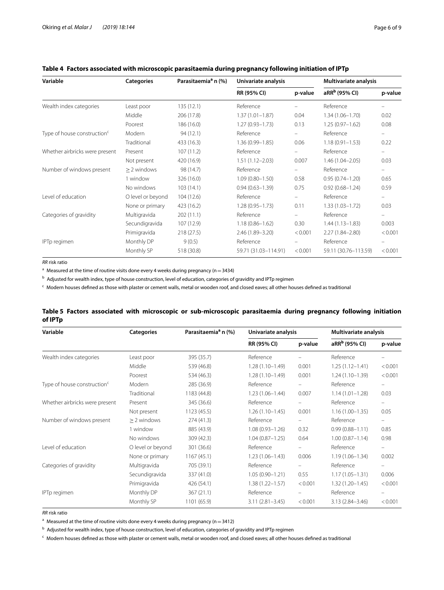| Variable                                | <b>Categories</b> | Parasitaemia <sup>a</sup> n (%) | Univariate analysis  |                          | Multivariate analysis     |                          |
|-----------------------------------------|-------------------|---------------------------------|----------------------|--------------------------|---------------------------|--------------------------|
|                                         |                   |                                 | RR (95% CI)          | p-value                  | aRR <sup>b</sup> (95% CI) | p-value                  |
| Wealth index categories                 | Least poor        | 135(12.1)                       | Reference            |                          | Reference                 |                          |
|                                         | Middle            | 206 (17.8)                      | $1.37(1.01 - 1.87)$  | 0.04                     | $1.34(1.06 - 1.70)$       | 0.02                     |
|                                         | Poorest           | 186 (16.0)                      | $1.27(0.93 - 1.73)$  | 0.13                     | $1.25(0.97 - 1.62)$       | 0.08                     |
| Type of house construction <sup>c</sup> | Modern            | 94 (12.1)                       | Reference            |                          | Reference                 |                          |
|                                         | Traditional       | 433 (16.3)                      | $1.36(0.99 - 1.85)$  | 0.06                     | $1.18(0.91 - 1.53)$       | 0.22                     |
| Whether airbricks were present          | Present           | 107 (11.2)                      | Reference            | $\overline{\phantom{a}}$ | Reference                 |                          |
|                                         | Not present       | 420 (16.9)                      | $1.51(1.12 - 2.03)$  | 0.007                    | $1.46(1.04 - 2.05)$       | 0.03                     |
| Number of windows present               | $> 2$ windows     | 98 (14.7)                       | Reference            | $\overline{\phantom{m}}$ | Reference                 | $\overline{\phantom{a}}$ |
|                                         | 1 window          | 326 (16.0)                      | $1.09(0.80 - 1.50)$  | 0.58                     | $0.95(0.74 - 1.20)$       | 0.65                     |
|                                         | No windows        | 103(14.1)                       | $0.94(0.63 - 1.39)$  | 0.75                     | $0.92(0.68 - 1.24)$       | 0.59                     |
| Level of education                      | O level or beyond | 104 (12.6)                      | Reference            |                          | Reference                 |                          |
|                                         | None or primary   | 423 (16.2)                      | $1.28(0.95 - 1.73)$  | 0.11                     | $1.33(1.03 - 1.72)$       | 0.03                     |
| Categories of gravidity                 | Multigravida      | 202(11.1)                       | Reference            |                          | Reference                 | $\overline{\phantom{m}}$ |
|                                         | Secundigravida    | 107 (12.9)                      | $1.18(0.86 - 1.62)$  | 0.30                     | $1.44(1.13 - 1.83)$       | 0.003                    |
|                                         | Primigravida      | 218 (27.5)                      | 2.46 (1.89-3.20)     | < 0.001                  | $2.27(1.84 - 2.80)$       | < 0.001                  |
| IPTp regimen                            | Monthly DP        | 9(0.5)                          | Reference            |                          | Reference                 |                          |
|                                         | Monthly SP        | 518 (30.8)                      | 59.71 (31.03-114.91) | < 0.001                  | 59.11 (30.76-113.59)      | < 0.001                  |

# <span id="page-5-0"></span>**Table 4 Factors associated with microscopic parasitaemia during pregnancy following initiation of IPTp**

*RR* risk ratio

<sup>a</sup> Measured at the time of routine visits done every 4 weeks during pregnancy (n = 3434)

<sup>b</sup> Adjusted for wealth index, type of house construction, level of education, categories of gravidity and IPTp regimen

<sup>c</sup> Modern houses defned as those with plaster or cement walls, metal or wooden roof, and closed eaves; all other houses defned as traditional

| Variable                                | <b>Categories</b> | Parasitaemia <sup>a</sup> n (%) | Univariate analysis |                          | Multivariate analysis     |                          |
|-----------------------------------------|-------------------|---------------------------------|---------------------|--------------------------|---------------------------|--------------------------|
|                                         |                   |                                 | RR (95% CI)         | p-value                  | aRR <sup>b</sup> (95% CI) | p-value                  |
| Wealth index categories                 | Least poor        | 395 (35.7)                      | Reference           |                          | Reference                 |                          |
|                                         | Middle            | 539 (46.8)                      | $1.28(1.10-1.49)$   | 0.001                    | $1.25(1.12 - 1.41)$       | < 0.001                  |
|                                         | Poorest           | 534 (46.3)                      | $1.28(1.10-1.49)$   | 0.001                    | $1.24(1.10-1.39)$         | < 0.001                  |
| Type of house construction <sup>c</sup> | Modern            | 285 (36.9)                      | Reference           |                          | Reference                 |                          |
|                                         | Traditional       | 1183 (44.8)                     | $1.23(1.06 - 1.44)$ | 0.007                    | $1.14(1.01 - 1.28)$       | 0.03                     |
| Whether airbricks were present          | Present           | 345 (36.6)                      | Reference           | $\overline{\phantom{0}}$ | Reference                 | $\overline{\phantom{0}}$ |
|                                         | Not present       | 1123(45.5)                      | $1.26(1.10-1.45)$   | 0.001                    | $1.16(1.00 - 1.35)$       | 0.05                     |
| Number of windows present               | $\geq$ 2 windows  | 274(41.3)                       | Reference           |                          | Reference                 |                          |
|                                         | 1 window          | 885 (43.9)                      | $1.08(0.93 - 1.26)$ | 0.32                     | $0.99(0.88 - 1.11)$       | 0.85                     |
|                                         | No windows        | 309(42.3)                       | $1.04(0.87 - 1.25)$ | 0.64                     | $1.00(0.87 - 1.14)$       | 0.98                     |
| Level of education                      | O level or beyond | 301 (36.6)                      | Reference           | $\overline{\phantom{0}}$ | Reference                 |                          |
|                                         | None or primary   | 1167(45.1)                      | $1.23(1.06 - 1.43)$ | 0.006                    | $1.19(1.06 - 1.34)$       | 0.002                    |
| Categories of gravidity                 | Multigravida      | 705 (39.1)                      | Reference           | -                        | Reference                 |                          |
|                                         | Secundigravida    | 337 (41.0)                      | $1.05(0.90 - 1.21)$ | 0.55                     | $1.17(1.05 - 1.31)$       | 0.006                    |
|                                         | Primigravida      | 426 (54.1)                      | $1.38(1.22 - 1.57)$ | < 0.001                  | $1.32(1.20 - 1.45)$       | < 0.001                  |
| IPTp regimen                            | Monthly DP        | 367(21.1)                       | Reference           |                          | Reference                 |                          |
|                                         | Monthly SP        | 1101 (65.9)                     | $3.11(2.81 - 3.45)$ | < 0.001                  | $3.13(2.84 - 3.46)$       | < 0.001                  |

## <span id="page-5-1"></span>**Table 5 Factors associated with microscopic or sub-microscopic parasitaemia during pregnancy following initiation of IPTp**

*RR* risk ratio

<sup>a</sup> Measured at the time of routine visits done every 4 weeks during pregnancy (n = 3412)

<sup>b</sup> Adjusted for wealth index, type of house construction, level of education, categories of gravidity and IPTp regimen

 $\epsilon$  Modern houses defined as those with plaster or cement walls, metal or wooden roof, and closed eaves; all other houses defined as traditional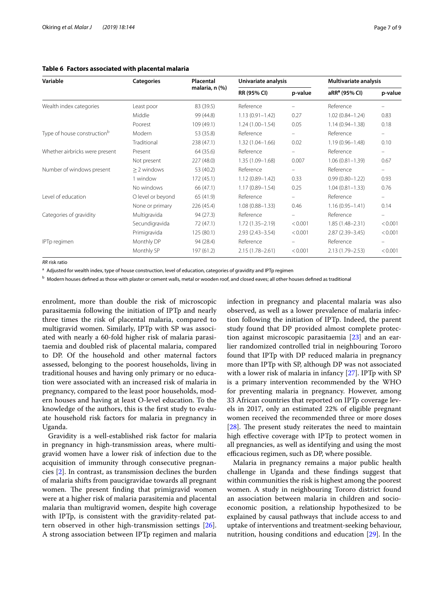<span id="page-6-0"></span>

| Variable                                | <b>Categories</b> | Placental<br>malaria, n (%) | Univariate analysis |         | <b>Multivariate analysis</b> |                          |
|-----------------------------------------|-------------------|-----------------------------|---------------------|---------|------------------------------|--------------------------|
|                                         |                   |                             | RR (95% CI)         | p-value | aRR <sup>a</sup> (95% CI)    | p-value                  |
| Wealth index categories                 | Least poor        | 83 (39.5)                   | Reference           |         | Reference                    |                          |
|                                         | Middle            | 99 (44.8)                   | $1.13(0.91 - 1.42)$ | 0.27    | $1.02(0.84 - 1.24)$          | 0.83                     |
|                                         | Poorest           | 109 (49.1)                  | $1.24(1.00 - 1.54)$ | 0.05    | $1.14(0.94 - 1.38)$          | 0.18                     |
| Type of house construction <sup>b</sup> | Modern            | 53 (35.8)                   | Reference           |         | Reference                    |                          |
|                                         | Traditional       | 238 (47.1)                  | $1.32(1.04 - 1.66)$ | 0.02    | $1.19(0.96 - 1.48)$          | 0.10                     |
| Whether airbricks were present          | Present           | 64 (35.6)                   | Reference           | -       | Reference                    |                          |
|                                         | Not present       | 227 (48.0)                  | $1.35(1.09 - 1.68)$ | 0.007   | $1.06(0.81 - 1.39)$          | 0.67                     |
| Number of windows present               | $> 2$ windows     | 53 (40.2)                   | Reference           |         | Reference                    | $\overline{\phantom{m}}$ |
|                                         | 1 window          | 172 (45.1)                  | $1.12(0.89 - 1.42)$ | 0.33    | $0.99(0.80 - 1.22)$          | 0.93                     |
|                                         | No windows        | 66 (47.1)                   | $1.17(0.89 - 1.54)$ | 0.25    | $1.04(0.81 - 1.33)$          | 0.76                     |
| Level of education                      | O level or beyond | 65 (41.9)                   | Reference           | -       | Reference                    |                          |
|                                         | None or primary   | 226 (45.4)                  | $1.08(0.88 - 1.33)$ | 0.46    | $1.16(0.95 - 1.41)$          | 0.14                     |
| Categories of gravidity                 | Multigravida      | 94 (27.3)                   | Reference           |         | Reference                    |                          |
|                                         | Secundigravida    | 72 (47.1)                   | $1.72(1.35 - 2.19)$ | < 0.001 | 1.85 (1.48-2.31)             | < 0.001                  |

Primigravida 125 (80.1) 2.93 (2.43–3.54) <0.001 2.87 (2.39–3.45) <0.001

Monthly SP 197 (61.2) 2.15 (1.78–2.61) <0.001 2.13 (1.79–2.53) <0.001

*RR* risk ratio

<sup>a</sup> Adjusted for wealth index, type of house construction, level of education, categories of gravidity and IPTp regimen

**b** Modern houses defined as those with plaster or cement walls, metal or wooden roof, and closed eaves; all other houses defined as traditional

IPTp regimen Monthly DP 94 (28.4) Reference – Reference –

enrolment, more than double the risk of microscopic parasitaemia following the initiation of IPTp and nearly three times the risk of placental malaria, compared to multigravid women. Similarly, IPTp with SP was associated with nearly a 60-fold higher risk of malaria parasitaemia and doubled risk of placental malaria, compared to DP. Of the household and other maternal factors assessed, belonging to the poorest households, living in traditional houses and having only primary or no education were associated with an increased risk of malaria in pregnancy, compared to the least poor households, modern houses and having at least O-level education. To the knowledge of the authors, this is the frst study to evaluate household risk factors for malaria in pregnancy in Uganda.

Gravidity is a well-established risk factor for malaria in pregnancy in high-transmission areas, where multigravid women have a lower risk of infection due to the acquisition of immunity through consecutive pregnancies [\[2](#page-8-1)]. In contrast, as transmission declines the burden of malaria shifts from paucigravidae towards all pregnant women. The present finding that primigravid women were at a higher risk of malaria parasitemia and placental malaria than multigravid women, despite high coverage with IPTp, is consistent with the gravidity-related pattern observed in other high-transmission settings [\[26](#page-8-21)]. A strong association between IPTp regimen and malaria

infection in pregnancy and placental malaria was also observed, as well as a lower prevalence of malaria infection following the initiation of IPTp. Indeed, the parent study found that DP provided almost complete protection against microscopic parasitaemia [[23\]](#page-8-18) and an earlier randomized controlled trial in neighbouring Tororo found that IPTp with DP reduced malaria in pregnancy more than IPTp with SP, although DP was not associated with a lower risk of malaria in infancy [[27\]](#page-8-22). IPTp with SP is a primary intervention recommended by the WHO for preventing malaria in pregnancy. However, among 33 African countries that reported on IPTp coverage levels in 2017, only an estimated 22% of eligible pregnant women received the recommended three or more doses  $[28]$  $[28]$ . The present study reiterates the need to maintain high efective coverage with IPTp to protect women in all pregnancies, as well as identifying and using the most efficacious regimen, such as DP, where possible.

Malaria in pregnancy remains a major public health challenge in Uganda and these fndings suggest that within communities the risk is highest among the poorest women. A study in neighbouring Tororo district found an association between malaria in children and socioeconomic position, a relationship hypothesized to be explained by causal pathways that include access to and uptake of interventions and treatment-seeking behaviour, nutrition, housing conditions and education [[29\]](#page-8-24). In the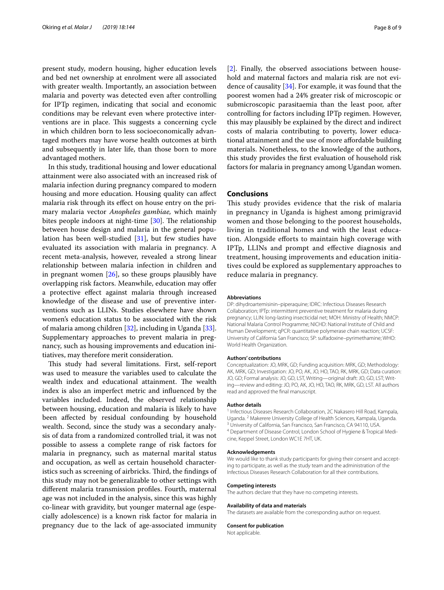present study, modern housing, higher education levels and bed net ownership at enrolment were all associated with greater wealth. Importantly, an association between malaria and poverty was detected even after controlling for IPTp regimen, indicating that social and economic conditions may be relevant even where protective interventions are in place. This suggests a concerning cycle in which children born to less socioeconomically advantaged mothers may have worse health outcomes at birth and subsequently in later life, than those born to more advantaged mothers.

In this study, traditional housing and lower educational attainment were also associated with an increased risk of malaria infection during pregnancy compared to modern housing and more education. Housing quality can afect malaria risk through its efect on house entry on the primary malaria vector *Anopheles gambiae,* which mainly bites people indoors at night-time  $[30]$  $[30]$ . The relationship between house design and malaria in the general population has been well-studied [\[31](#page-8-26)], but few studies have evaluated its association with malaria in pregnancy. A recent meta-analysis, however, revealed a strong linear relationship between malaria infection in children and in pregnant women  $[26]$ , so these groups plausibly have overlapping risk factors. Meanwhile, education may ofer a protective efect against malaria through increased knowledge of the disease and use of preventive interventions such as LLINs. Studies elsewhere have shown women's education status to be associated with the risk of malaria among children [[32\]](#page-8-27), including in Uganda [\[33](#page-8-28)]. Supplementary approaches to prevent malaria in pregnancy, such as housing improvements and education initiatives, may therefore merit consideration.

This study had several limitations. First, self-report was used to measure the variables used to calculate the wealth index and educational attainment. The wealth index is also an imperfect metric and infuenced by the variables included. Indeed, the observed relationship between housing, education and malaria is likely to have been afected by residual confounding by household wealth. Second, since the study was a secondary analysis of data from a randomized controlled trial, it was not possible to assess a complete range of risk factors for malaria in pregnancy, such as maternal marital status and occupation, as well as certain household characteristics such as screening of airbricks. Third, the findings of this study may not be generalizable to other settings with diferent malaria transmission profles. Fourth, maternal age was not included in the analysis, since this was highly co-linear with gravidity, but younger maternal age (especially adolescence) is a known risk factor for malaria in pregnancy due to the lack of age-associated immunity [[2\]](#page-8-1). Finally, the observed associations between household and maternal factors and malaria risk are not evidence of causality [\[34](#page-8-29)]. For example, it was found that the poorest women had a 24% greater risk of microscopic or submicroscopic parasitaemia than the least poor, after controlling for factors including IPTp regimen. However, this may plausibly be explained by the direct and indirect costs of malaria contributing to poverty, lower educational attainment and the use of more afordable building materials. Nonetheless, to the knowledge of the authors, this study provides the frst evaluation of household risk factors for malaria in pregnancy among Ugandan women.

### **Conclusions**

This study provides evidence that the risk of malaria in pregnancy in Uganda is highest among primigravid women and those belonging to the poorest households, living in traditional homes and with the least education. Alongside eforts to maintain high coverage with IPTp, LLINs and prompt and efective diagnosis and treatment, housing improvements and education initiatives could be explored as supplementary approaches to reduce malaria in pregnancy.

#### **Abbreviations**

DP: dihydroartemisinin–piperaquine; IDRC: Infectious Diseases Research Collaboration; IPTp: intermittent preventive treatment for malaria during pregnancy; LLIN: long-lasting insecticidal net; MOH: Ministry of Health; NMCP: National Malaria Control Programme; NICHD: National Institute of Child and Human Development; qPCR: quantitative polymerase chain reaction; UCSF: University of California San Francisco; SP: sulfadoxine–pyrimethamine; WHO: World Health Organization.

#### **Authors' contributions**

Conceptualization: JO, MRK, GD; Funding acquisition: MRK, GD; Methodology: AK, MRK, GD; Investigation: JO, PO, AK, JO, HO, TAO, RK, MRK, GD; Data curation: JO, GD; Formal analysis: JO, GD, LST, Writing—original draft: JO, GD, LST; Writing—review and editing: JO, PO, AK, JO, HO, TAO, RK, MRK, GD, LST. All authors read and approved the fnal manuscript.

#### **Author details**

<sup>1</sup> Infectious Diseases Research Collaboration, 2C Nakasero Hill Road, Kampala, Uganda. <sup>2</sup> Makerere University College of Health Sciences, Kampala, Uganda.<br><sup>3</sup> University of California, San Francisco, San Francisco, CA 94110, USA.<br><sup>4</sup> Department of Disease Control, London School of Hygiene & Tropical cine, Keppel Street, London WC1E 7HT, UK.

#### **Acknowledgements**

We would like to thank study participants for giving their consent and accepting to participate, as well as the study team and the administration of the Infectious Diseases Research Collaboration for all their contributions.

#### **Competing interests**

The authors declare that they have no competing interests.

#### **Availability of data and materials**

The datasets are available from the corresponding author on request.

#### **Consent for publication**

Not applicable.